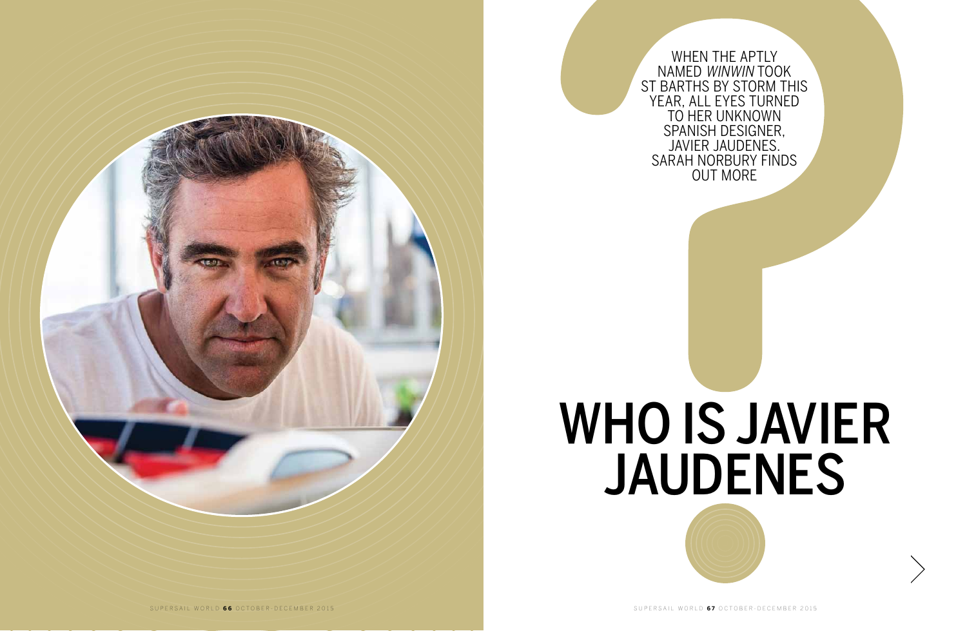When the aptly named WinWin took St Barths by storm this year, all eyes turned to her unknown SPANISH DESIGNER,<br>JAVIER JAUDENES. Javier Jaudenes. Sarah Norbury finds out more



# who is javier jaudenes

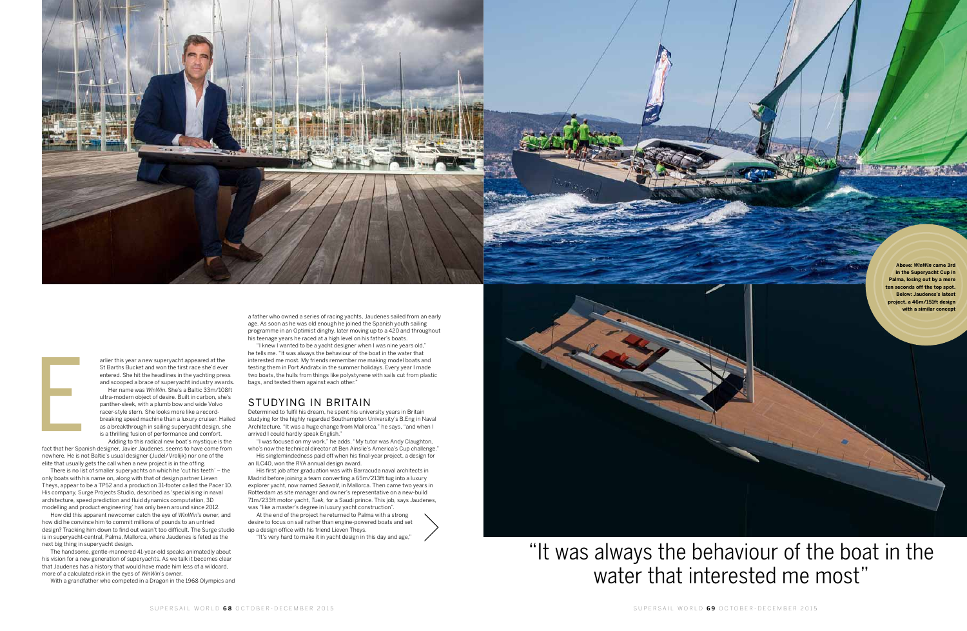arlier this year a new superyacht appeared at the St Barths Bucket and won the first race she'd ever entered. She hit the headlines in the yachting press and scooped a brace of superyacht industry awards.

Her name was *WinWin*. She's a Baltic 33m/108ft ultra-modern object of desire. Built in carbon, she's panther-sleek, with a plumb bow and wide Volvo racer-style stern. She looks more like a recordbreaking speed machine than a luxury cruiser. Hailed as a breakthrough in sailing superyacht design, she is a thrilling fusion of performance and comfort.

Adding to this radical new boat's mystique is the fact that her Spanish designer, Javier Jaudenes, seems to have come from nowhere. He is not Baltic's usual designer (Judel/Vrolijk) nor one of the elite that usually gets the call when a new project is in the offing.

"I knew I wanted to be a yacht designer when I was nine years old," he tells me. "It was always the behaviour of the boat in the water that interested me most. My friends remember me making model boats and testing them in Port Andratx in the summer holidays. Every year I made two boats, the hulls from things like polystyrene with sails cut from plastic bags, and tested them against each other."

There is no list of smaller superyachts on which he 'cut his teeth' – the only boats with his name on, along with that of design partner Lieven Theys, appear to be a TP52 and a production 31-footer called the Pacer 10. His company, Surge Projects Studio, described as 'specialising in naval architecture, speed prediction and fluid dynamics computation, 3D modelling and product engineering' has only been around since 2012.

Determined to fulfil his dream, he spent his university years in Britain studying for the highly regarded Southampton University's B.Eng in Naval Architecture. "It was a huge change from Mallorca," he says, "and when I arrived I could hardly speak English."

How did this apparent newcomer catch the eye of *WinWin*'s owner, and how did he convince him to commit millions of pounds to an untried design? Tracking him down to find out wasn't too difficult. The Surge studio is in superyacht-central, Palma, Mallorca, where Jaudenes is feted as the next big thing in superyacht design.

The handsome, gentle-mannered 41-year-old speaks animatedly about his vision for a new generation of superyachts. As we talk it becomes clear that Jaudenes has a history that would have made him less of a wildcard, more of a calculated risk in the eyes of *WinWin*'s owner.

## "It was always the behaviour of the boat in the water that interested me most"

With a grandfather who competed in a Dragon in the 1968 Olympics and

a father who owned a series of racing yachts, Jaudenes sailed from an early age. As soon as he was old enough he joined the Spanish youth sailing programme in an Optimist dinghy, later moving up to a 420 and throughout his teenage years he raced at a high level on his father's boats.

### studying in britain

"I was focused on my work," he adds. "My tutor was Andy Claughton, who's now the technical director at Ben Ainslie's America's Cup challenge." His singlemindedness paid off when his final-year project, a design for

an ILC40, won the RYA annual design award.

His first job after graduation was with Barracuda naval architects in Madrid before joining a team converting a 65m/213ft tug into a luxury explorer yacht, now named *Seawolf*, in Mallorca. Then came two years in Rotterdam as site manager and owner's representative on a new-build 71m/233ft motor yacht, *Tuek*, for a Saudi prince. This job, says Jaudenes, was "like a master's degree in luxury yacht construction".

At the end of the project he returned to Palma with a strong desire to focus on sail rather than engine-powered boats and set up a design office with his friend Lieven Theys.

"It's very hard to make it in yacht design in this day and age,"





Experience<br>Experience<br>Experience

**Above:** *WinWin* **came 3rd in the Superyacht Cup in ma, losing out by a mere ten seconds off the top spot. Below: Jaudenes's latest project, a 46m/151ft design with a similar concept**